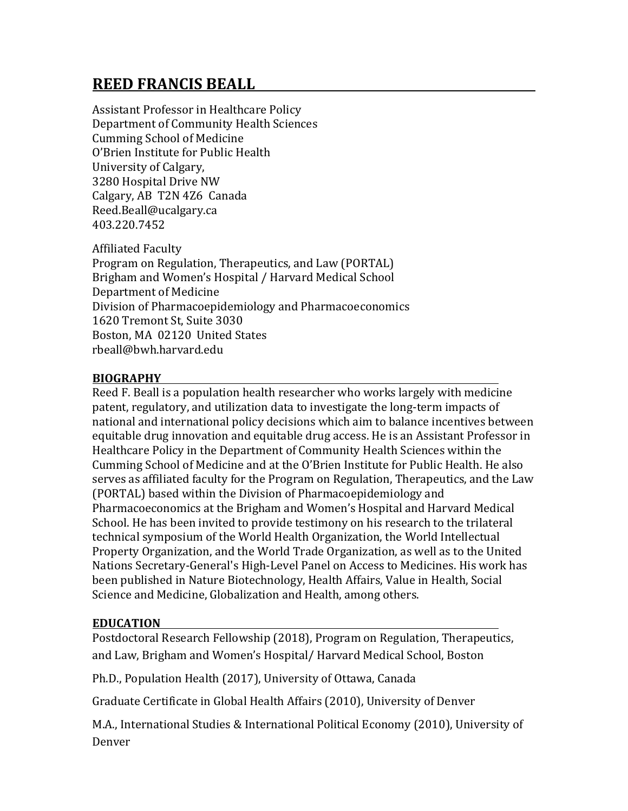# **REED FRANCIS BEALL**

Assistant Professor in Healthcare Policy Department of Community Health Sciences Cumming School of Medicine O'Brien Institute for Public Health University of Calgary, 3280 Hospital Drive NW Calgary, AB T2N 4Z6 Canada Reed.Beall@ucalgary.ca 403.220.7452

Affiliated Faculty Program on Regulation, Therapeutics, and Law (PORTAL) Brigham and Women's Hospital / Harvard Medical School Department of Medicine Division of Pharmacoepidemiology and Pharmacoeconomics 1620 Tremont St, Suite 3030 Boston, MA 02120 United States rbeall@bwh.harvard.edu

# **BIOGRAPHY**

Reed F. Beall is a population health researcher who works largely with medicine patent, regulatory, and utilization data to investigate the long-term impacts of national and international policy decisions which aim to balance incentives between equitable drug innovation and equitable drug access. He is an Assistant Professor in Healthcare Policy in the Department of Community Health Sciences within the Cumming School of Medicine and at the O'Brien Institute for Public Health. He also serves as affiliated faculty for the Program on Regulation, Therapeutics, and the Law (PORTAL) based within the Division of Pharmacoepidemiology and Pharmacoeconomics at the Brigham and Women's Hospital and Harvard Medical School. He has been invited to provide testimony on his research to the trilateral technical symposium of the World Health Organization, the World Intellectual Property Organization, and the World Trade Organization, as well as to the United Nations Secretary-General's High-Level Panel on Access to Medicines. His work has been published in Nature Biotechnology, Health Affairs, Value in Health, Social Science and Medicine, Globalization and Health, among others.

# **EDUCATION**

Postdoctoral Research Fellowship (2018), Program on Regulation, Therapeutics, and Law, Brigham and Women's Hospital/ Harvard Medical School, Boston

Ph.D., Population Health (2017), University of Ottawa, Canada

Graduate Certificate in Global Health Affairs (2010), University of Denver

M.A., International Studies & International Political Economy (2010), University of Denver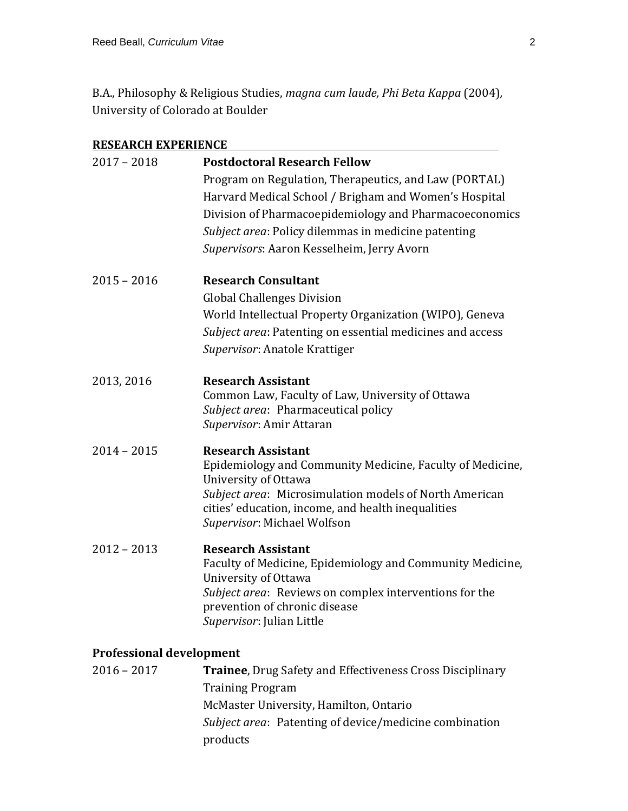B.A., Philosophy & Religious Studies, *magna cum laude, Phi Beta Kappa* (2004)*,* University of Colorado at Boulder

| <b>RESEARCH EXPERIENCE</b>      |                                                                                   |
|---------------------------------|-----------------------------------------------------------------------------------|
| $2017 - 2018$                   | <b>Postdoctoral Research Fellow</b>                                               |
|                                 | Program on Regulation, Therapeutics, and Law (PORTAL)                             |
|                                 | Harvard Medical School / Brigham and Women's Hospital                             |
|                                 | Division of Pharmacoepidemiology and Pharmacoeconomics                            |
|                                 | Subject area: Policy dilemmas in medicine patenting                               |
|                                 | Supervisors: Aaron Kesselheim, Jerry Avorn                                        |
|                                 |                                                                                   |
| $2015 - 2016$                   | <b>Research Consultant</b>                                                        |
|                                 | <b>Global Challenges Division</b>                                                 |
|                                 | World Intellectual Property Organization (WIPO), Geneva                           |
|                                 | Subject area: Patenting on essential medicines and access                         |
|                                 | Supervisor: Anatole Krattiger                                                     |
| 2013, 2016                      | <b>Research Assistant</b>                                                         |
|                                 | Common Law, Faculty of Law, University of Ottawa                                  |
|                                 | Subject area: Pharmaceutical policy                                               |
|                                 | Supervisor: Amir Attaran                                                          |
| $2014 - 2015$                   | <b>Research Assistant</b>                                                         |
|                                 | Epidemiology and Community Medicine, Faculty of Medicine,                         |
|                                 | University of Ottawa                                                              |
|                                 | Subject area: Microsimulation models of North American                            |
|                                 | cities' education, income, and health inequalities<br>Supervisor: Michael Wolfson |
| $2012 - 2013$                   | <b>Research Assistant</b>                                                         |
|                                 | Faculty of Medicine, Epidemiology and Community Medicine,                         |
|                                 | University of Ottawa                                                              |
|                                 | Subject area: Reviews on complex interventions for the                            |
|                                 | prevention of chronic disease                                                     |
|                                 | Supervisor: Julian Little                                                         |
| <b>Professional development</b> |                                                                                   |

| $2016 - 2017$ | <b>Trainee, Drug Safety and Effectiveness Cross Disciplinary</b> |
|---------------|------------------------------------------------------------------|
|               | <b>Training Program</b>                                          |
|               | McMaster University, Hamilton, Ontario                           |
|               | <i>Subject area:</i> Patenting of device/medicine combination    |
|               | products                                                         |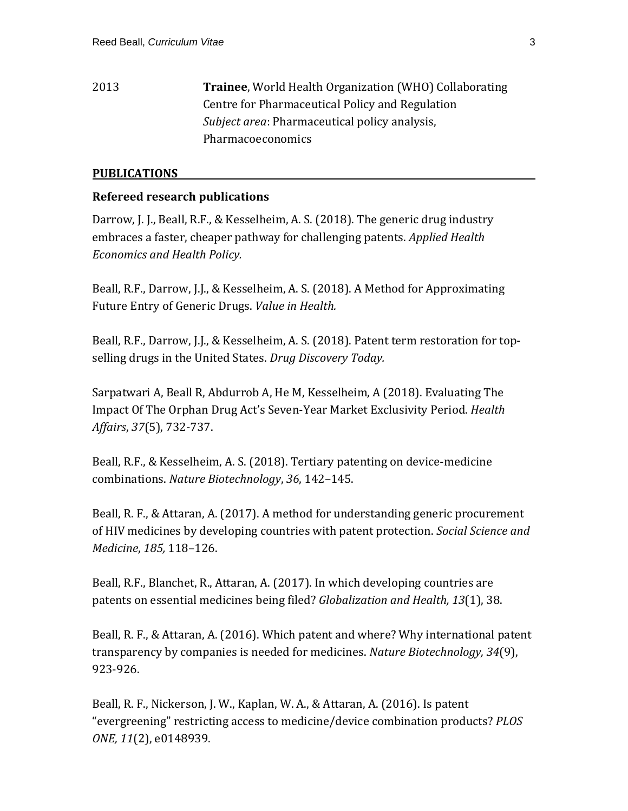# 2013 **Trainee**, World Health Organization (WHO) Collaborating Centre for Pharmaceutical Policy and Regulation *Subject area*: Pharmaceutical policy analysis, Pharmacoeconomics

#### **PUBLICATIONS**

#### **Refereed research publications**

Darrow, J. J., Beall, R.F., & Kesselheim, A. S. (2018). The generic drug industry embraces a faster, cheaper pathway for challenging patents. *Applied Health Economics and Health Policy.*

Beall, R.F., Darrow, J.J., & Kesselheim, A. S. (2018). A Method for Approximating Future Entry of Generic Drugs. *Value in Health.*

Beall, R.F., Darrow, J.J., & Kesselheim, A. S. (2018). Patent term restoration for topselling drugs in the United States. *Drug Discovery Today.*

Sarpatwari A, Beall R, Abdurrob A, He M, Kesselheim, A (2018). Evaluating The Impact Of The Orphan Drug Act's Seven-Year Market Exclusivity Period. *Health Affairs*, *37*(5), 732-737.

Beall, R.F., & Kesselheim, A. S. (2018). Tertiary patenting on device-medicine combinations. *Nature Biotechnology*, *36*, 142–145.

Beall, R. F., & Attaran, A. (2017). A method for understanding generic procurement of HIV medicines by developing countries with patent protection. *Social Science and Medicine*, *185,* 118–126.

Beall, R.F., Blanchet, R., Attaran, A. (2017). In which developing countries are patents on essential medicines being filed? *Globalization and Health, 13*(1), 38.

Beall, R. F., & Attaran, A. (2016). Which patent and where? Why international patent transparency by companies is needed for medicines. *Nature Biotechnology, 34*(9), 923-926.

Beall, R. F., Nickerson, J. W., Kaplan, W. A., & Attaran, A. (2016). Is patent "evergreening" restricting access to medicine/device combination products? *PLOS ONE, 11*(2), e0148939.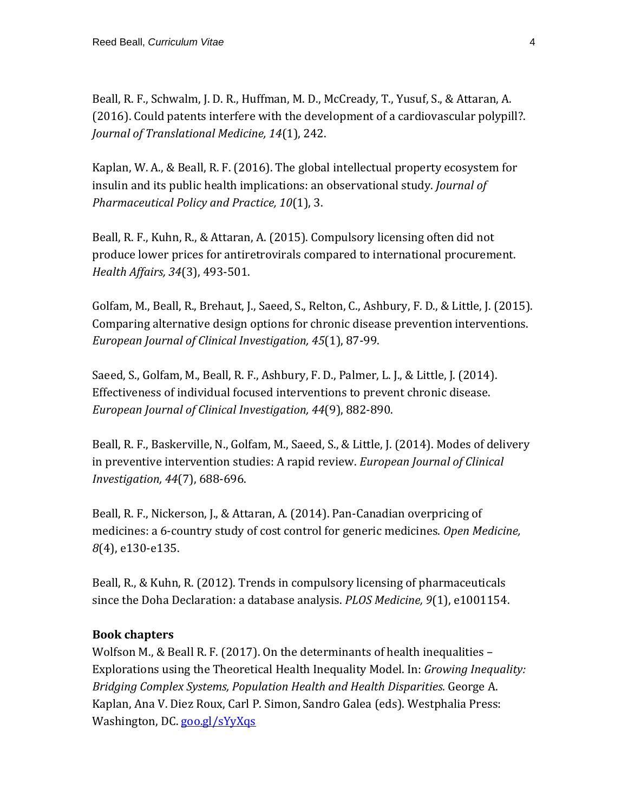Beall, R. F., Schwalm, J. D. R., Huffman, M. D., McCready, T., Yusuf, S., & Attaran, A. (2016). Could patents interfere with the development of a cardiovascular polypill?. *Journal of Translational Medicine, 14*(1), 242.

Kaplan, W. A., & Beall, R. F. (2016). The global intellectual property ecosystem for insulin and its public health implications: an observational study. *Journal of Pharmaceutical Policy and Practice, 10*(1), 3.

Beall, R. F., Kuhn, R., & Attaran, A. (2015). Compulsory licensing often did not produce lower prices for antiretrovirals compared to international procurement. *Health Affairs, 34*(3), 493-501.

Golfam, M., Beall, R., Brehaut, J., Saeed, S., Relton, C., Ashbury, F. D., & Little, J. (2015). Comparing alternative design options for chronic disease prevention interventions. *European Journal of Clinical Investigation, 45*(1), 87-99.

Saeed, S., Golfam, M., Beall, R. F., Ashbury, F. D., Palmer, L. J., & Little, J. (2014). Effectiveness of individual focused interventions to prevent chronic disease. *European Journal of Clinical Investigation, 44*(9), 882-890.

Beall, R. F., Baskerville, N., Golfam, M., Saeed, S., & Little, J. (2014). Modes of delivery in preventive intervention studies: A rapid review. *European Journal of Clinical Investigation, 44*(7), 688-696.

Beall, R. F., Nickerson, J., & Attaran, A. (2014). Pan-Canadian overpricing of medicines: a 6-country study of cost control for generic medicines. *Open Medicine, 8*(4), e130-e135.

Beall, R., & Kuhn, R. (2012). Trends in compulsory licensing of pharmaceuticals since the Doha Declaration: a database analysis. *PLOS Medicine, 9*(1), e1001154.

#### **Book chapters**

Wolfson M., & Beall R. F. (2017). On the determinants of health inequalities – Explorations using the Theoretical Health Inequality Model. In: *Growing Inequality: Bridging Complex Systems, Population Health and Health Disparities.* George A. Kaplan, Ana V. Diez Roux, Carl P. Simon, Sandro Galea (eds). Westphalia Press: Washington, DC. [goo.gl/sYyXqs](http://goo.gl/sYyXqs)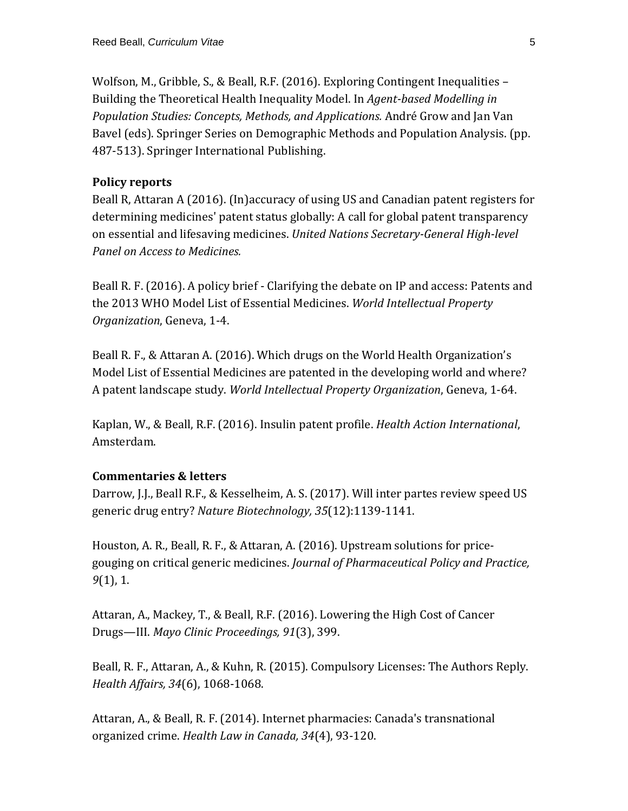Wolfson, M., Gribble, S., & Beall, R.F. (2016). Exploring Contingent Inequalities – Building the Theoretical Health Inequality Model. In *Agent-based Modelling in Population Studies: Concepts, Methods, and Applications.* André Grow and Jan Van Bavel (eds). Springer Series on Demographic Methods and Population Analysis. (pp. 487-513). Springer International Publishing.

#### **Policy reports**

Beall R, Attaran A (2016). (In)accuracy of using US and Canadian patent registers for determining medicines' patent status globally: A call for global patent transparency on essential and lifesaving medicines. *United Nations Secretary-General High-level Panel on Access to Medicines.*

Beall R. F. (2016). A policy brief - Clarifying the debate on IP and access: Patents and the 2013 WHO Model List of Essential Medicines. *World Intellectual Property Organization*, Geneva, 1-4.

Beall R. F., & Attaran A. (2016). Which drugs on the World Health Organization's Model List of Essential Medicines are patented in the developing world and where? A patent landscape study. *World Intellectual Property Organization*, Geneva, 1-64.

Kaplan, W., & Beall, R.F. (2016). Insulin patent profile. *Health Action International*, Amsterdam.

# **Commentaries & letters**

Darrow, J.J., Beall R.F., & Kesselheim, A. S. (2017). Will inter partes review speed US generic drug entry? *Nature Biotechnology, 35*(12):1139-1141.

Houston, A. R., Beall, R. F., & Attaran, A. (2016). Upstream solutions for pricegouging on critical generic medicines. *Journal of Pharmaceutical Policy and Practice, 9*(1), 1.

Attaran, A., Mackey, T., & Beall, R.F. (2016). Lowering the High Cost of Cancer Drugs—III. *Mayo Clinic Proceedings, 91*(3), 399.

Beall, R. F., Attaran, A., & Kuhn, R. (2015). Compulsory Licenses: The Authors Reply. *Health Affairs, 34*(6), 1068-1068.

Attaran, A., & Beall, R. F. (2014). Internet pharmacies: Canada's transnational organized crime. *Health Law in Canada, 34*(4), 93-120.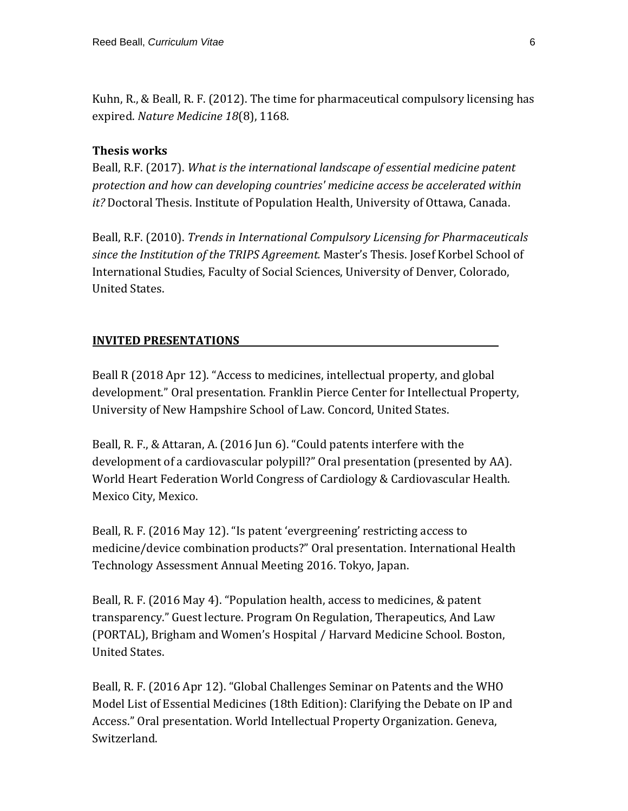Kuhn, R., & Beall, R. F. (2012). The time for pharmaceutical compulsory licensing has expired. *Nature Medicine 18*(8), 1168.

#### **Thesis works**

Beall, R.F. (2017). *What is the international landscape of essential medicine patent protection and how can developing countries' medicine access be accelerated within it?* Doctoral Thesis. Institute of Population Health, University of Ottawa, Canada.

Beall, R.F. (2010). *Trends in International Compulsory Licensing for Pharmaceuticals since the Institution of the TRIPS Agreement.* Master's Thesis. Josef Korbel School of International Studies, Faculty of Social Sciences, University of Denver, Colorado, United States.

#### **INVITED PRESENTATIONS**

Beall R (2018 Apr 12). "Access to medicines, intellectual property, and global development." Oral presentation. Franklin Pierce Center for Intellectual Property, University of New Hampshire School of Law. Concord, United States.

Beall, R. F., & Attaran, A. (2016 Jun 6). "Could patents interfere with the development of a cardiovascular polypill?" Oral presentation (presented by AA). World Heart Federation World Congress of Cardiology & Cardiovascular Health. Mexico City, Mexico.

Beall, R. F. (2016 May 12). "Is patent 'evergreening' restricting access to medicine/device combination products?" Oral presentation. International Health Technology Assessment Annual Meeting 2016. Tokyo, Japan.

Beall, R. F. (2016 May 4). "Population health, access to medicines, & patent transparency." Guest lecture. Program On Regulation, Therapeutics, And Law (PORTAL), Brigham and Women's Hospital / Harvard Medicine School. Boston, United States.

Beall, R. F. (2016 Apr 12). "Global Challenges Seminar on Patents and the WHO Model List of Essential Medicines (18th Edition): Clarifying the Debate on IP and Access." Oral presentation. World Intellectual Property Organization. Geneva, Switzerland.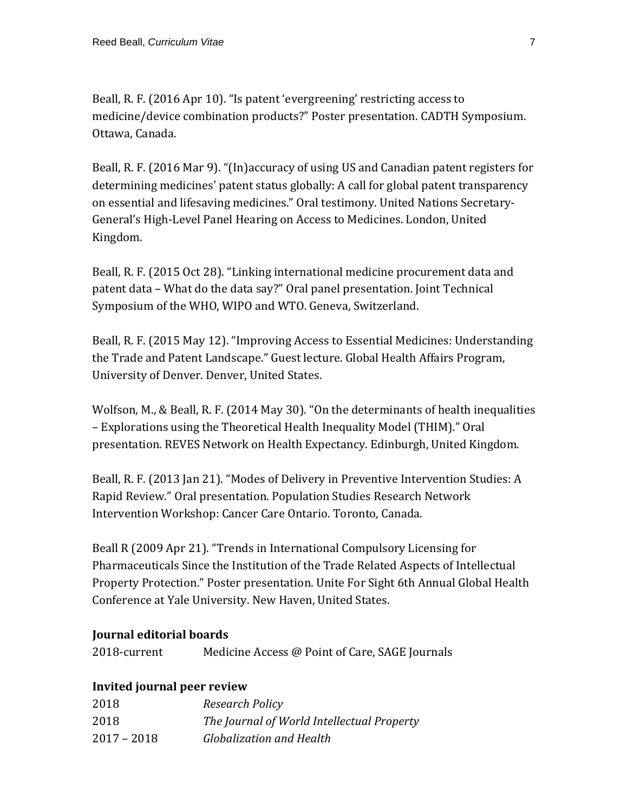Beall, R. F. (2016 Apr 10). "Is patent 'evergreening' restricting access to medicine/device combination products?" Poster presentation. CADTH Symposium. Ottawa, Canada.

Beall, R. F. (2016 Mar 9). "(In)accuracy of using US and Canadian patent registers for determining medicines' patent status globally: A call for global patent transparency on essential and lifesaving medicines." Oral testimony. United Nations Secretary-General's High-Level Panel Hearing on Access to Medicines. London, United Kingdom.

Beall, R. F. (2015 Oct 28). "Linking international medicine procurement data and patent data – What do the data say?" Oral panel presentation. Joint Technical Symposium of the WHO, WIPO and WTO. Geneva, Switzerland.

Beall, R. F. (2015 May 12). "Improving Access to Essential Medicines: Understanding the Trade and Patent Landscape." Guest lecture. Global Health Affairs Program, University of Denver. Denver, United States.

Wolfson, M., & Beall, R. F. (2014 May 30). "On the determinants of health inequalities – Explorations using the Theoretical Health Inequality Model (THIM)." Oral presentation. REVES Network on Health Expectancy. Edinburgh, United Kingdom.

Beall, R. F. (2013 Jan 21). "Modes of Delivery in Preventive Intervention Studies: A Rapid Review." Oral presentation. Population Studies Research Network Intervention Workshop: Cancer Care Ontario. Toronto, Canada.

Beall R (2009 Apr 21). "Trends in International Compulsory Licensing for Pharmaceuticals Since the Institution of the Trade Related Aspects of Intellectual Property Protection." Poster presentation. Unite For Sight 6th Annual Global Health Conference at Yale University. New Haven, United States.

# **Journal editorial boards**

| 2018-current | Medicine Access @ Point of Care, SAGE Journals |  |  |
|--------------|------------------------------------------------|--|--|
|--------------|------------------------------------------------|--|--|

#### **Invited journal peer review**

| 2018        | Research Policy                            |
|-------------|--------------------------------------------|
| 2018        | The Journal of World Intellectual Property |
| 2017 – 2018 | Globalization and Health                   |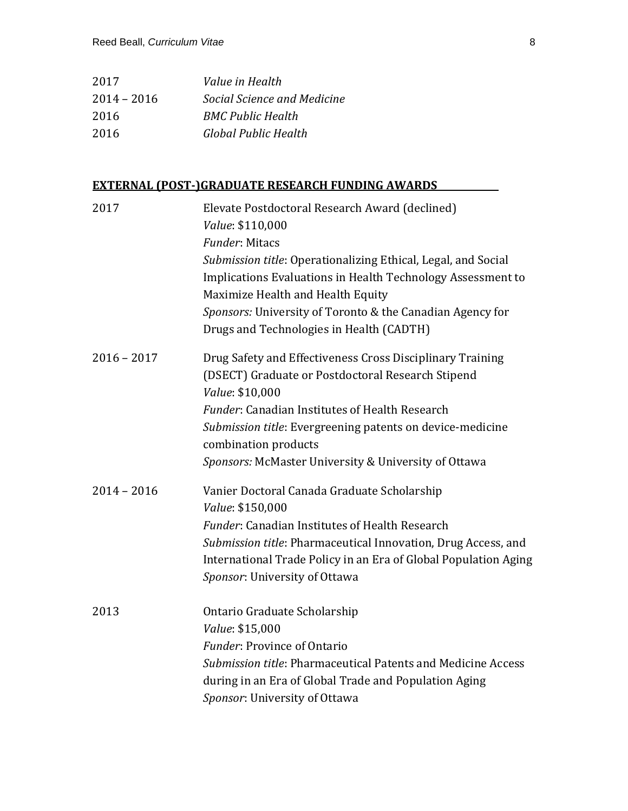| 2017          | Value in Health             |
|---------------|-----------------------------|
| $2014 - 2016$ | Social Science and Medicine |
| 2016          | <b>BMC Public Health</b>    |
| 2016          | Global Public Health        |

#### **EXTERNAL (POST-)GRADUATE RESEARCH FUNDING AWARDS**

| 2017          | Elevate Postdoctoral Research Award (declined)                  |
|---------------|-----------------------------------------------------------------|
|               | Value: \$110,000                                                |
|               | <b>Funder: Mitacs</b>                                           |
|               | Submission title: Operationalizing Ethical, Legal, and Social   |
|               | Implications Evaluations in Health Technology Assessment to     |
|               | Maximize Health and Health Equity                               |
|               | Sponsors: University of Toronto & the Canadian Agency for       |
|               | Drugs and Technologies in Health (CADTH)                        |
| $2016 - 2017$ | Drug Safety and Effectiveness Cross Disciplinary Training       |
|               | (DSECT) Graduate or Postdoctoral Research Stipend               |
|               | Value: \$10,000                                                 |
|               | <b>Funder: Canadian Institutes of Health Research</b>           |
|               | Submission title: Evergreening patents on device-medicine       |
|               | combination products                                            |
|               | Sponsors: McMaster University & University of Ottawa            |
| $2014 - 2016$ | Vanier Doctoral Canada Graduate Scholarship                     |
|               | Value: \$150,000                                                |
|               | <i>Funder:</i> Canadian Institutes of Health Research           |
|               | Submission title: Pharmaceutical Innovation, Drug Access, and   |
|               | International Trade Policy in an Era of Global Population Aging |
|               | Sponsor: University of Ottawa                                   |
| 2013          | Ontario Graduate Scholarship                                    |
|               | Value: \$15,000                                                 |
|               | <b>Funder: Province of Ontario</b>                              |
|               | Submission title: Pharmaceutical Patents and Medicine Access    |
|               | during in an Era of Global Trade and Population Aging           |
|               | Sponsor: University of Ottawa                                   |
|               |                                                                 |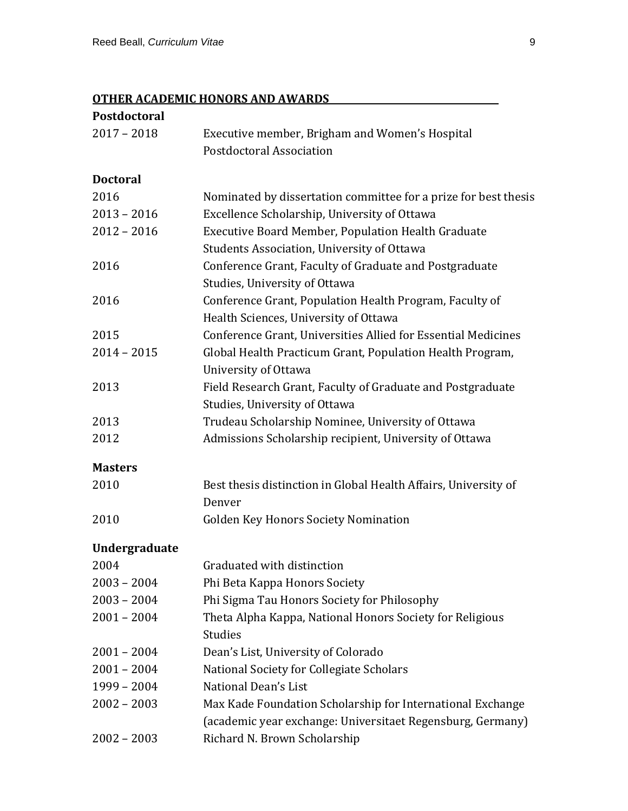# **OTHER ACADEMIC HONORS AND AWARDS**

| Postdoctoral    |                                                                 |
|-----------------|-----------------------------------------------------------------|
| $2017 - 2018$   | Executive member, Brigham and Women's Hospital                  |
|                 | Postdoctoral Association                                        |
| <b>Doctoral</b> |                                                                 |
| 2016            | Nominated by dissertation committee for a prize for best thesis |
| $2013 - 2016$   | Excellence Scholarship, University of Ottawa                    |
| $2012 - 2016$   | Executive Board Member, Population Health Graduate              |
|                 | Students Association, University of Ottawa                      |
| 2016            | Conference Grant, Faculty of Graduate and Postgraduate          |
|                 | Studies, University of Ottawa                                   |
| 2016            | Conference Grant, Population Health Program, Faculty of         |
|                 | Health Sciences, University of Ottawa                           |
| 2015            | Conference Grant, Universities Allied for Essential Medicines   |
| $2014 - 2015$   | Global Health Practicum Grant, Population Health Program,       |
|                 | University of Ottawa                                            |
| 2013            | Field Research Grant, Faculty of Graduate and Postgraduate      |
|                 | Studies, University of Ottawa                                   |
| 2013            | Trudeau Scholarship Nominee, University of Ottawa               |
| 2012            | Admissions Scholarship recipient, University of Ottawa          |
| <b>Masters</b>  |                                                                 |
| 2010            | Best thesis distinction in Global Health Affairs, University of |
|                 | Denver                                                          |
| 2010            | <b>Golden Key Honors Society Nomination</b>                     |
| Undergraduate   |                                                                 |
| 2004            | Graduated with distinction                                      |
| $2003 - 2004$   | Phi Beta Kappa Honors Society                                   |
| $2003 - 2004$   | Phi Sigma Tau Honors Society for Philosophy                     |
| $2001 - 2004$   | Theta Alpha Kappa, National Honors Society for Religious        |
|                 | <b>Studies</b>                                                  |
| $2001 - 2004$   | Dean's List, University of Colorado                             |
| $2001 - 2004$   | National Society for Collegiate Scholars                        |
| 1999 - 2004     | National Dean's List                                            |
| $2002 - 2003$   | Max Kade Foundation Scholarship for International Exchange      |
|                 | (academic year exchange: Universitaet Regensburg, Germany)      |
| $2002 - 2003$   | Richard N. Brown Scholarship                                    |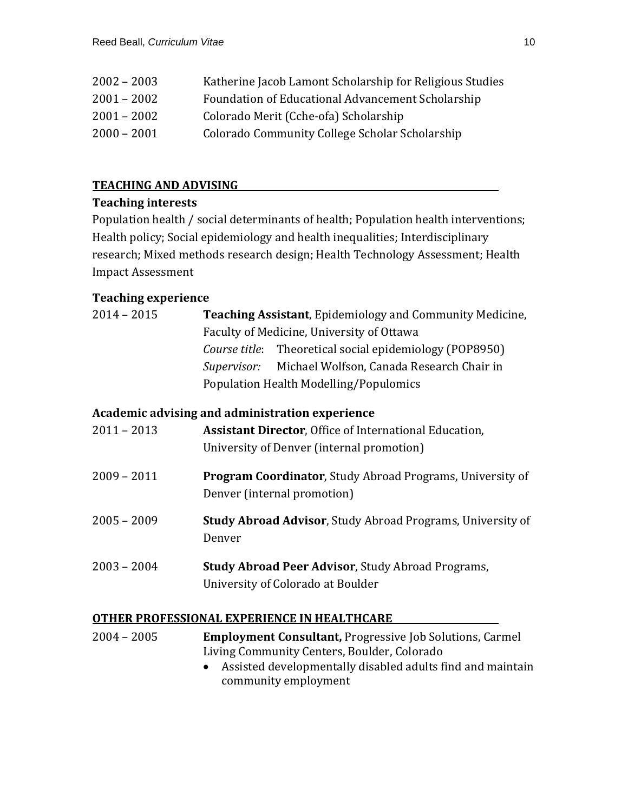| $2002 - 2003$ | Katherine Jacob Lamont Scholarship for Religious Studies |
|---------------|----------------------------------------------------------|
| $2001 - 2002$ | Foundation of Educational Advancement Scholarship        |
| $2001 - 2002$ | Colorado Merit (Cche-ofa) Scholarship                    |
| $2000 - 2001$ | Colorado Community College Scholar Scholarship           |

### **TEACHING AND ADVISING**

#### **Teaching interests**

Population health / social determinants of health; Population health interventions; Health policy; Social epidemiology and health inequalities; Interdisciplinary research; Mixed methods research design; Health Technology Assessment; Health Impact Assessment

# **Teaching experience**

| $2014 - 2015$ | <b>Teaching Assistant, Epidemiology and Community Medicine,</b> |
|---------------|-----------------------------------------------------------------|
|               | Faculty of Medicine, University of Ottawa                       |
|               | <i>Course title</i> : Theoretical social epidemiology (POP8950) |
|               | Supervisor: Michael Wolfson, Canada Research Chair in           |
|               | Population Health Modelling/Populomics                          |
|               |                                                                 |

# **Academic advising and administration experience**

| 2011 – 2013 | <b>Assistant Director, Office of International Education,</b> |
|-------------|---------------------------------------------------------------|
|             | University of Denver (internal promotion)                     |

- 2009 2011 **Program Coordinator**, Study Abroad Programs, University of Denver (internal promotion)
- 2005 2009 **Study Abroad Advisor**, Study Abroad Programs, University of Denver
- 2003 2004 **Study Abroad Peer Advisor**, Study Abroad Programs, University of Colorado at Boulder

#### **OTHER PROFESSIONAL EXPERIENCE IN HEALTHCARE**

| 2004 – 2005 | <b>Employment Consultant, Progressive Job Solutions, Carmel</b> |
|-------------|-----------------------------------------------------------------|
|             | Living Community Centers, Boulder, Colorado                     |
|             |                                                                 |

• Assisted developmentally disabled adults find and maintain community employment